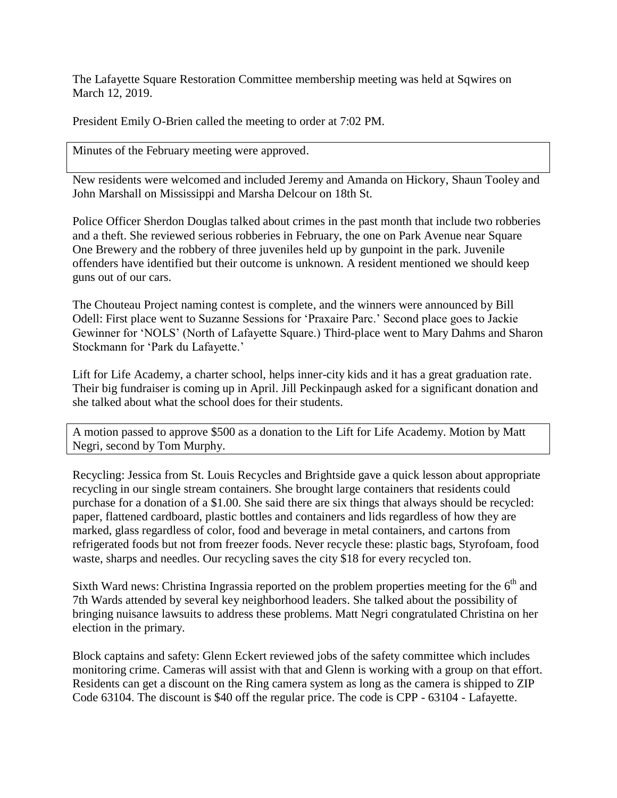The Lafayette Square Restoration Committee membership meeting was held at Sqwires on March 12, 2019.

President Emily O-Brien called the meeting to order at 7:02 PM.

Minutes of the February meeting were approved.

New residents were welcomed and included Jeremy and Amanda on Hickory, Shaun Tooley and John Marshall on Mississippi and Marsha Delcour on 18th St.

Police Officer Sherdon Douglas talked about crimes in the past month that include two robberies and a theft. She reviewed serious robberies in February, the one on Park Avenue near Square One Brewery and the robbery of three juveniles held up by gunpoint in the park. Juvenile offenders have identified but their outcome is unknown. A resident mentioned we should keep guns out of our cars.

The Chouteau Project naming contest is complete, and the winners were announced by Bill Odell: First place went to Suzanne Sessions for 'Praxaire Parc.' Second place goes to Jackie Gewinner for 'NOLS' (North of Lafayette Square.) Third-place went to Mary Dahms and Sharon Stockmann for 'Park du Lafayette.'

Lift for Life Academy, a charter school, helps inner-city kids and it has a great graduation rate. Their big fundraiser is coming up in April. Jill Peckinpaugh asked for a significant donation and she talked about what the school does for their students.

A motion passed to approve \$500 as a donation to the Lift for Life Academy. Motion by Matt Negri, second by Tom Murphy.

Recycling: Jessica from St. Louis Recycles and Brightside gave a quick lesson about appropriate recycling in our single stream containers. She brought large containers that residents could purchase for a donation of a \$1.00. She said there are six things that always should be recycled: paper, flattened cardboard, plastic bottles and containers and lids regardless of how they are marked, glass regardless of color, food and beverage in metal containers, and cartons from refrigerated foods but not from freezer foods. Never recycle these: plastic bags, Styrofoam, food waste, sharps and needles. Our recycling saves the city \$18 for every recycled ton.

Sixth Ward news: Christina Ingrassia reported on the problem properties meeting for the  $6<sup>th</sup>$  and 7th Wards attended by several key neighborhood leaders. She talked about the possibility of bringing nuisance lawsuits to address these problems. Matt Negri congratulated Christina on her election in the primary.

Block captains and safety: Glenn Eckert reviewed jobs of the safety committee which includes monitoring crime. Cameras will assist with that and Glenn is working with a group on that effort. Residents can get a discount on the Ring camera system as long as the camera is shipped to ZIP Code 63104. The discount is \$40 off the regular price. The code is CPP - 63104 - Lafayette.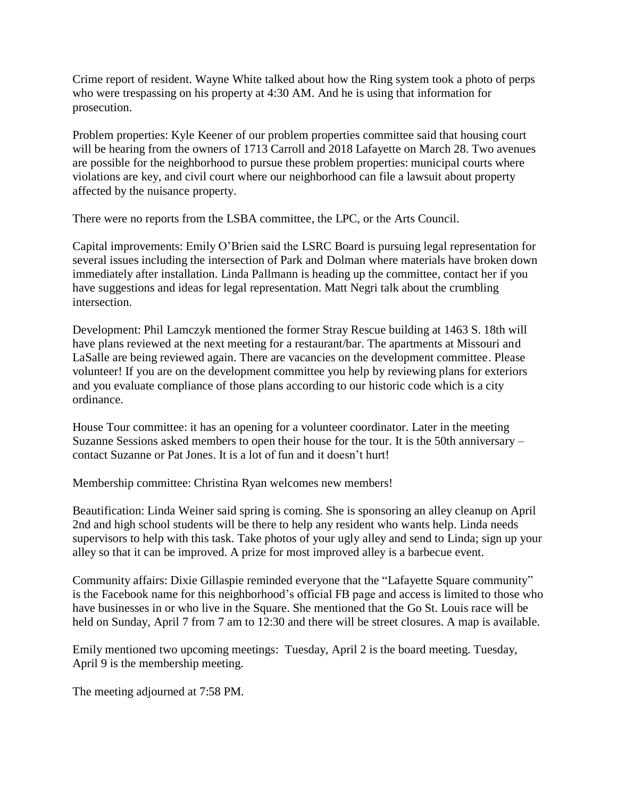Crime report of resident. Wayne White talked about how the Ring system took a photo of perps who were trespassing on his property at 4:30 AM. And he is using that information for prosecution.

Problem properties: Kyle Keener of our problem properties committee said that housing court will be hearing from the owners of 1713 Carroll and 2018 Lafayette on March 28. Two avenues are possible for the neighborhood to pursue these problem properties: municipal courts where violations are key, and civil court where our neighborhood can file a lawsuit about property affected by the nuisance property.

There were no reports from the LSBA committee, the LPC, or the Arts Council.

Capital improvements: Emily O'Brien said the LSRC Board is pursuing legal representation for several issues including the intersection of Park and Dolman where materials have broken down immediately after installation. Linda Pallmann is heading up the committee, contact her if you have suggestions and ideas for legal representation. Matt Negri talk about the crumbling intersection.

Development: Phil Lamczyk mentioned the former Stray Rescue building at 1463 S. 18th will have plans reviewed at the next meeting for a restaurant/bar. The apartments at Missouri and LaSalle are being reviewed again. There are vacancies on the development committee. Please volunteer! If you are on the development committee you help by reviewing plans for exteriors and you evaluate compliance of those plans according to our historic code which is a city ordinance.

House Tour committee: it has an opening for a volunteer coordinator. Later in the meeting Suzanne Sessions asked members to open their house for the tour. It is the 50th anniversary – contact Suzanne or Pat Jones. It is a lot of fun and it doesn't hurt!

Membership committee: Christina Ryan welcomes new members!

Beautification: Linda Weiner said spring is coming. She is sponsoring an alley cleanup on April 2nd and high school students will be there to help any resident who wants help. Linda needs supervisors to help with this task. Take photos of your ugly alley and send to Linda; sign up your alley so that it can be improved. A prize for most improved alley is a barbecue event.

Community affairs: Dixie Gillaspie reminded everyone that the "Lafayette Square community" is the Facebook name for this neighborhood's official FB page and access is limited to those who have businesses in or who live in the Square. She mentioned that the Go St. Louis race will be held on Sunday, April 7 from 7 am to 12:30 and there will be street closures. A map is available.

Emily mentioned two upcoming meetings: Tuesday, April 2 is the board meeting. Tuesday, April 9 is the membership meeting.

The meeting adjourned at 7:58 PM.